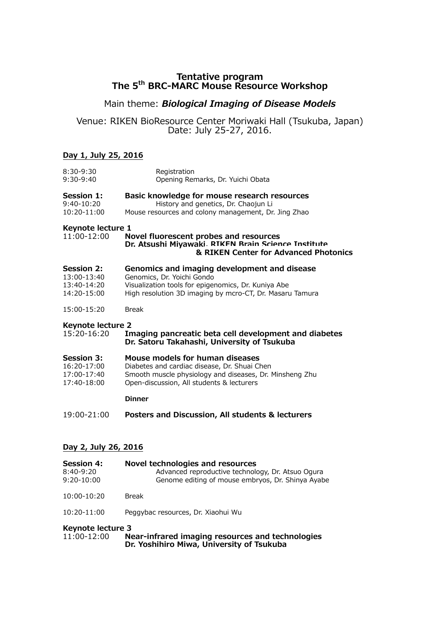# **Tentative program The 5th BRC-MARC Mouse Resource Workshop**

# Main theme: *Biological Imaging of Disease Models*

## Venue: RIKEN BioResource Center Moriwaki Hall (Tsukuba, Japan) Date: July 25-27, 2016.

#### **Day 1, July 25, 2016**

| 8:30-9:30                        | Registration                                                                                                                          |
|----------------------------------|---------------------------------------------------------------------------------------------------------------------------------------|
| 9:30-9:40                        | Opening Remarks, Dr. Yuichi Obata                                                                                                     |
| <b>Session 1:</b>                | Basic knowledge for mouse research resources                                                                                          |
| 9:40-10:20                       | History and genetics, Dr. Chaojun Li                                                                                                  |
| 10:20-11:00                      | Mouse resources and colony management, Dr. Jing Zhao                                                                                  |
| Keynote lecture 1<br>11:00-12:00 | Novel fluorescent probes and resources<br>Dr. Atsushi Miyawaki RTKFN Brain Science Institute<br>& RIKEN Center for Advanced Photonics |
| <b>Session 2:</b>                | Genomics and imaging development and disease                                                                                          |
| 13:00-13:40                      | Genomics, Dr. Yoichi Gondo                                                                                                            |
| 13:40-14:20                      | Visualization tools for epigenomics, Dr. Kuniya Abe                                                                                   |
| 14:20-15:00                      | High resolution 3D imaging by mcro-CT, Dr. Masaru Tamura                                                                              |
| 15:00-15:20                      | <b>Break</b>                                                                                                                          |
| <b>Keynote lecture 2</b>         | Imaging pancreatic beta cell development and diabetes                                                                                 |
| 15:20-16:20                      | Dr. Satoru Takahashi, University of Tsukuba                                                                                           |
| <b>Session 3:</b>                | Mouse models for human diseases                                                                                                       |
| 16:20-17:00                      | Diabetes and cardiac disease, Dr. Shuai Chen                                                                                          |
| 17:00-17:40                      | Smooth muscle physiology and diseases, Dr. Minsheng Zhu                                                                               |
| 17:40-18:00                      | Open-discussion, All students & lecturers                                                                                             |
|                                  | <b>Dinner</b>                                                                                                                         |
|                                  |                                                                                                                                       |

19:00-21:00 **Posters and Discussion, All students & lecturers**

#### **Day 2, July 26, 2016**

| <b>Session 4:</b> |       | Novel technologies and resources                  |
|-------------------|-------|---------------------------------------------------|
| $8:40 - 9:20$     |       | Advanced reproductive technology, Dr. Atsuo Ogura |
| $9:20 - 10:00$    |       | Genome editing of mouse embryos, Dr. Shinya Ayabe |
| 10:00-10:20       | Break |                                                   |

10:20-11:00 Peggybac resources, Dr. Xiaohui Wu

### **Keynote lecture 3**

| 11:00-12:00 | Near-infrared imaging resources and technologies |
|-------------|--------------------------------------------------|
|             | Dr. Yoshihiro Miwa, University of Tsukuba        |